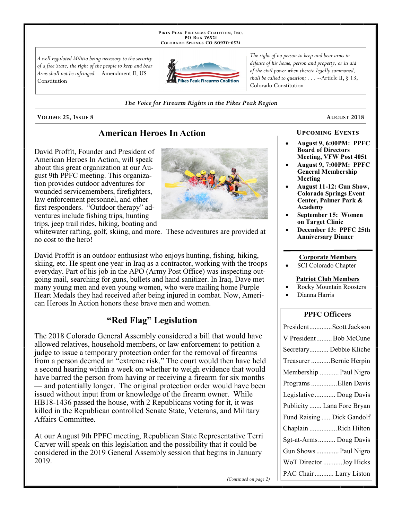PIKES PEAK FIREARMS COALITION, INC. PO Box 76521 COLORADO SPRINGS CO 80970-6521

A well regulated Militia being necessary to the security of a free State, the right of the people to keep and bear Arms shall not be infringed. --Amendment II, US Constitution



The right of no person to keep and bear arms in defense of his home, person and property, or in aid of the civil power when thereto legally summoned, shall be called to question;  $\ldots$  --Article II, § 13, Colorado Constitution

#### The Voice for Firearm Rights in the Pikes Peak Region

VOLUME 25, ISSUE 8

no cost to the hero!

### **American Heroes In Action**

David Proffit, Founder and President of American Heroes In Action, will speak about this great organization at our August 9th PPFC meeting. This organization provides outdoor adventures for wounded servicemembers, firefighters, law enforcement personnel, and other first responders. "Outdoor therapy" adventures include fishing trips, hunting trips, jeep trail rides, hiking, boating and



whitewater rafting, golf, skiing, and more. These adventures are provided at

David Proffit is an outdoor enthusiast who enjoys hunting, fishing, hiking, skiing, etc. He spent one year in Iraq as a contractor, working with the troops everyday. Part of his job in the APO (Army Post Office) was inspecting outgoing mail, searching for guns, bullets and hand sanitizer. In Iraq, Dave met many young men and even young women, who were mailing home Purple Heart Medals they had received after being injured in combat. Now, American Heroes In Action honors these brave men and women.

### "Red Flag" Legislation

The 2018 Colorado General Assembly considered a bill that would have allowed relatives, household members, or law enforcement to petition a judge to issue a temporary protection order for the removal of firearms from a person deemed an "extreme risk." The court would then have held a second hearing within a week on whether to weigh evidence that would have barred the person from having or receiving a firearm for six months — and potentially longer. The original protection order would have been issued without input from or knowledge of the firearm owner. While HB18-1436 passed the house, with 2 Republicans voting for it, it was killed in the Republican controlled Senate State, Veterans, and Military Affairs Committee.

At our August 9th PPFC meeting, Republican State Representative Terri Carver will speak on this legislation and the possibility that it could be considered in the 2019 General Assembly session that begins in January 2019.

### **UPCOMING EVENTS**

AUGUST 2018

- August 9, 6:00PM: PPFC **Board of Directors** Meeting, VFW Post 4051
- August 9, 7:00PM: PPFC **General Membership** Meeting
- **August 11-12: Gun Show, Colorado Springs Event** Center, Palmer Park & Academy
- September 15: Women on Target Clinic
- December 13: PPFC 25th **Anniversary Dinner**

#### **Corporate Members**

SCI Colorado Chapter

#### **Patriot Club Members**

- **Rocky Mountain Roosters**
- Dianna Harris

### **PPFC Officers**

| PresidentScott Jackson     |
|----------------------------|
| V PresidentBob McCune      |
| Secretary Debbie Kliche    |
| Treasurer Bernie Herpin    |
| Membership  Paul Nigro     |
| Programs Ellen Davis       |
| Legislative  Doug Davis    |
| Publicity  Lana Fore Bryan |
| Fund Raising Dick Gandolf  |
| Chaplain Rich Hilton       |
| Sgt-at-Arms Doug Davis     |
| Gun Shows  Paul Nigro      |
| WoT Director Joy Hicks     |
| PAC Chair  Larry Liston    |